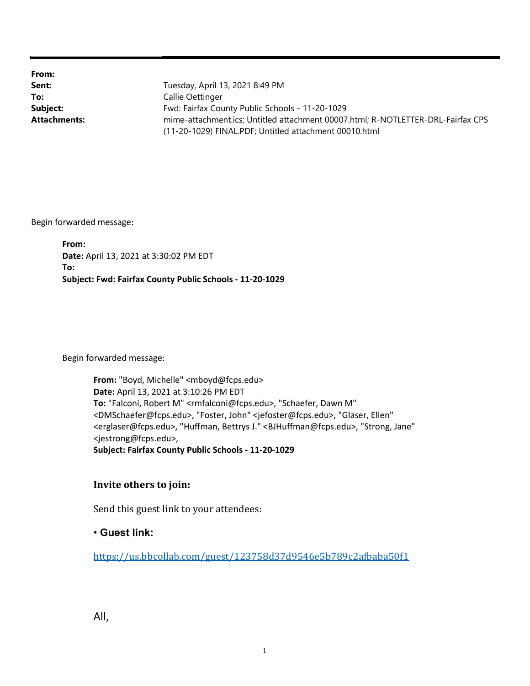From:

**Sent:** Tuesday, April 13, 2021 8:49 PM To: Callie Oettinger Subject: Fwd: Fairfax County Public Schools - 11-20-1029 Attachments: mime-attachment.ics; Untitled attachment 00007.html; R-NOTLETTER-DRL-Fairfax CPS (11-20-1029) FINAL.PDF; Untitled attachment 00010.html

Begin forwarded message:

From: Date: April 13, 2021 at 3:30:02 PM EDT To: Subject: Fwd: Fairfax County Public Schools - 11-20-1029

Begin forwarded message:

From: "Boyd, Michelle" <mboyd@fcps.edu> Date: April 13, 2021 at 3:10:26 PM EDT To: "Falconi, Robert M" <rmfalconi@fcps.edu>, "Schaefer, Dawn M" <DMSchaefer@fcps.edu>, "Foster, John" <jefoster@fcps.edu>, "Glaser, Ellen" <erglaser@fcps.edu>, "Huffman, Bettrys J." <BJHuffman@fcps.edu>, "Strong, Jane" <jestrong@fcps.edu>, Subject: Fairfax County Public Schools - 11-20-1029

## Invite others to join:

Send this guest link to your attendees:

## • Guest link:

https://us.bbcollab.com/guest/123758d37d9546e5b789c2afbaba50f1

All,